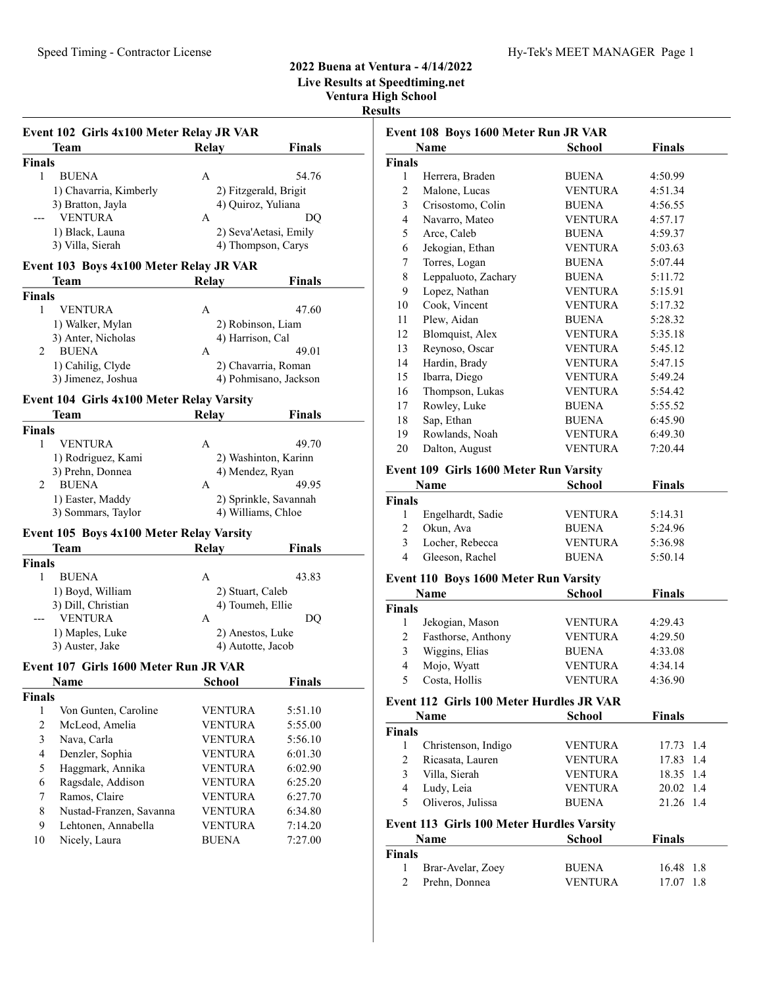# 2022 Buena at Ventura - 4/14/2022 Live Results at Speedtiming.net

Ventura High School Results

|                    | Event 102 Girls 4x100 Meter Relay JR VAR  |                                      |                       |  |
|--------------------|-------------------------------------------|--------------------------------------|-----------------------|--|
|                    | Team                                      | Relay                                | <b>Finals</b>         |  |
| Finals             |                                           |                                      |                       |  |
| 1                  | <b>BUENA</b>                              | А                                    | 54.76                 |  |
|                    | 1) Chavarria, Kimberly                    | 2) Fitzgerald, Brigit                |                       |  |
|                    | 3) Bratton, Jayla                         | 4) Quiroz, Yuliana                   |                       |  |
|                    | <b>VENTURA</b>                            | A                                    | DQ                    |  |
|                    | 1) Black, Launa                           |                                      | 2) Seva'Aetasi, Emily |  |
|                    | 3) Villa, Sierah                          | 4) Thompson, Carys                   |                       |  |
|                    | Event 103 Boys 4x100 Meter Relay JR VAR   |                                      |                       |  |
|                    | Team                                      | Relay                                | Finals                |  |
| <b>Finals</b>      |                                           |                                      |                       |  |
| 1                  | <b>VENTURA</b>                            | А                                    | 47.60                 |  |
|                    | 1) Walker, Mylan                          | 2) Robinson, Liam                    |                       |  |
|                    | 3) Anter, Nicholas                        | 4) Harrison, Cal                     |                       |  |
| 2                  | <b>BUENA</b>                              | А                                    | 49.01                 |  |
|                    | 1) Cahilig, Clyde                         |                                      | 2) Chavarria, Roman   |  |
|                    | 3) Jimenez, Joshua                        |                                      | 4) Pohmisano, Jackson |  |
|                    | Event 104 Girls 4x100 Meter Relay Varsity |                                      |                       |  |
|                    | <b>Team</b>                               | <b>Relay</b>                         | Finals                |  |
| <b>Finals</b>      |                                           |                                      |                       |  |
| 1                  | <b>VENTURA</b>                            | А                                    | 49.70                 |  |
|                    | 1) Rodriguez, Kami                        |                                      | 2) Washinton, Karinn  |  |
|                    | 3) Prehn, Donnea                          | 4) Mendez, Ryan                      |                       |  |
| 2                  | BUENA                                     | А                                    | 49.95                 |  |
|                    | 1) Easter, Maddy                          |                                      | 2) Sprinkle, Savannah |  |
|                    | 3) Sommars, Taylor                        | 4) Williams, Chloe                   |                       |  |
|                    |                                           |                                      |                       |  |
|                    | Event 105 Boys 4x100 Meter Relay Varsity  |                                      |                       |  |
|                    | Team                                      | <b>Relay</b>                         | <b>Finals</b>         |  |
| <b>Finals</b><br>1 |                                           |                                      |                       |  |
|                    | <b>BUENA</b>                              | A                                    | 43.83                 |  |
|                    | 1) Boyd, William<br>3) Dill, Christian    | 2) Stuart, Caleb<br>4) Toumeh, Ellie |                       |  |
|                    | <b>VENTURA</b>                            | A                                    | DQ                    |  |
|                    | 1) Maples, Luke                           | 2) Anestos, Luke                     |                       |  |
|                    | 3) Auster, Jake                           | 4) Autotte, Jacob                    |                       |  |
|                    |                                           |                                      |                       |  |
|                    | Event 107 Girls 1600 Meter Run JR VAR     |                                      |                       |  |
|                    | <b>Name</b>                               | <b>School</b>                        | Finals                |  |
| Finals             |                                           |                                      |                       |  |
| 1                  | Von Gunten, Caroline                      | <b>VENTURA</b>                       | 5:51.10               |  |
| $\overline{2}$     | McLeod, Amelia                            | <b>VENTURA</b>                       | 5:55.00               |  |
| 3                  | Nava, Carla                               | <b>VENTURA</b>                       | 5:56.10               |  |
| 4                  | Denzler, Sophia                           | VENTURA                              | 6:01.30               |  |
| 5                  | Haggmark, Annika                          | VENTURA                              | 6:02.90               |  |
| 6                  | Ragsdale, Addison                         | <b>VENTURA</b>                       | 6:25.20               |  |
| 7                  | Ramos, Claire                             | <b>VENTURA</b>                       | 6:27.70               |  |
| 8                  | Nustad-Franzen, Savanna                   | <b>VENTURA</b>                       | 6:34.80               |  |
| 9                  | Lehtonen, Annabella                       | <b>VENTURA</b>                       | 7:14.20               |  |
| 10                 | Nicely, Laura                             | <b>BUENA</b>                         | 7:27.00               |  |

| Event 108 Boys 1600 Meter Run JR VAR |                                           |                                |                    |  |
|--------------------------------------|-------------------------------------------|--------------------------------|--------------------|--|
|                                      | Name                                      | <b>School</b>                  | <b>Finals</b>      |  |
| <b>Finals</b>                        |                                           |                                |                    |  |
| 1                                    | Herrera, Braden                           | <b>BUENA</b>                   | 4:50.99            |  |
| 2                                    | Malone, Lucas                             | <b>VENTURA</b>                 | 4:51.34            |  |
| 3                                    | Crisostomo, Colin                         | <b>BUENA</b>                   | 4:56.55            |  |
| 4                                    | Navarro, Mateo                            | <b>VENTURA</b>                 | 4:57.17            |  |
| 5                                    | Arce, Caleb                               | <b>BUENA</b>                   | 4:59.37            |  |
| 6                                    | Jekogian, Ethan                           | <b>VENTURA</b>                 | 5:03.63            |  |
| 7                                    | Torres, Logan                             | <b>BUENA</b>                   | 5:07.44            |  |
| 8                                    | Leppaluoto, Zachary                       | <b>BUENA</b>                   | 5:11.72            |  |
| 9                                    | Lopez, Nathan                             | <b>VENTURA</b>                 | 5:15.91            |  |
| 10                                   | Cook, Vincent                             | VENTURA                        | 5:17.32            |  |
| 11                                   | Plew, Aidan                               | <b>BUENA</b>                   | 5:28.32            |  |
| 12                                   | Blomquist, Alex                           | <b>VENTURA</b>                 | 5:35.18            |  |
| 13                                   | Reynoso, Oscar                            | <b>VENTURA</b>                 | 5:45.12            |  |
| 14                                   | Hardin, Brady                             | <b>VENTURA</b>                 | 5:47.15            |  |
| 15                                   | Ibarra, Diego                             | <b>VENTURA</b>                 | 5:49.24            |  |
| 16                                   | Thompson, Lukas                           | VENTURA                        | 5:54.42            |  |
| 17                                   | Rowley, Luke                              | <b>BUENA</b>                   | 5:55.52            |  |
| 18                                   | Sap, Ethan                                | <b>BUENA</b>                   | 6:45.90            |  |
| 19                                   | Rowlands, Noah                            | <b>VENTURA</b>                 | 6:49.30            |  |
| 20                                   | Dalton, August                            | <b>VENTURA</b>                 | 7:20.44            |  |
|                                      | Event 109 Girls 1600 Meter Run Varsity    |                                |                    |  |
|                                      | <b>Name</b>                               | School                         | <b>Finals</b>      |  |
| <b>Finals</b>                        |                                           |                                |                    |  |
| 1                                    | Engelhardt, Sadie                         | <b>VENTURA</b>                 | 5:14.31            |  |
| 2                                    | Okun, Ava                                 | <b>BUENA</b>                   | 5:24.96            |  |
| 3                                    |                                           |                                |                    |  |
| 4                                    | Locher, Rebecca                           | <b>VENTURA</b><br><b>BUENA</b> | 5:36.98<br>5:50.14 |  |
|                                      | Gleeson, Rachel                           |                                |                    |  |
|                                      | Event 110 Boys 1600 Meter Run Varsity     |                                |                    |  |
|                                      | Name                                      | <b>School</b>                  | <b>Finals</b>      |  |
| <b>Finals</b>                        |                                           |                                |                    |  |
| 1                                    | Jekogian, Mason                           | <b>VENTURA</b>                 | 4:29.43            |  |
| 2                                    | Fasthorse, Anthony                        | <b>VENTURA</b>                 | 4:29.50            |  |
| 3                                    | Wiggins, Elias                            | <b>BUENA</b>                   | 4:33.08            |  |
| 4                                    | Mojo, Wyatt                               | <b>VENTURA</b>                 | 4:34.14            |  |
| 5                                    | Costa, Hollis                             | VENTURA                        | 4:36.90            |  |
|                                      | Event 112 Girls 100 Meter Hurdles JR VAR  |                                |                    |  |
|                                      | Name                                      | <b>School</b>                  | <b>Finals</b>      |  |
| Finals                               |                                           |                                |                    |  |
| 1                                    | Christenson, Indigo                       | VENTURA                        | 17.73 1.4          |  |
| 2                                    | Ricasata, Lauren                          | <b>VENTURA</b>                 | 17.83<br>1.4       |  |
| 3                                    | Villa, Sierah                             | VENTURA                        | 18.35 1.4          |  |
| 4                                    | Ludy, Leia                                | <b>VENTURA</b>                 | 20.02 1.4          |  |
| 5                                    | Oliveros, Julissa                         | <b>BUENA</b>                   | 21.26 1.4          |  |
|                                      | Event 113 Girls 100 Meter Hurdles Varsity |                                |                    |  |
|                                      | Name                                      | School                         | Finals             |  |
| <b>Finals</b>                        |                                           |                                |                    |  |
| 1                                    | Brar-Avelar, Zoey                         | <b>BUENA</b>                   | 16.48<br>1.8       |  |
| 2                                    | Prehn, Donnea                             | <b>VENTURA</b>                 | 17.07<br>1.8       |  |
|                                      |                                           |                                |                    |  |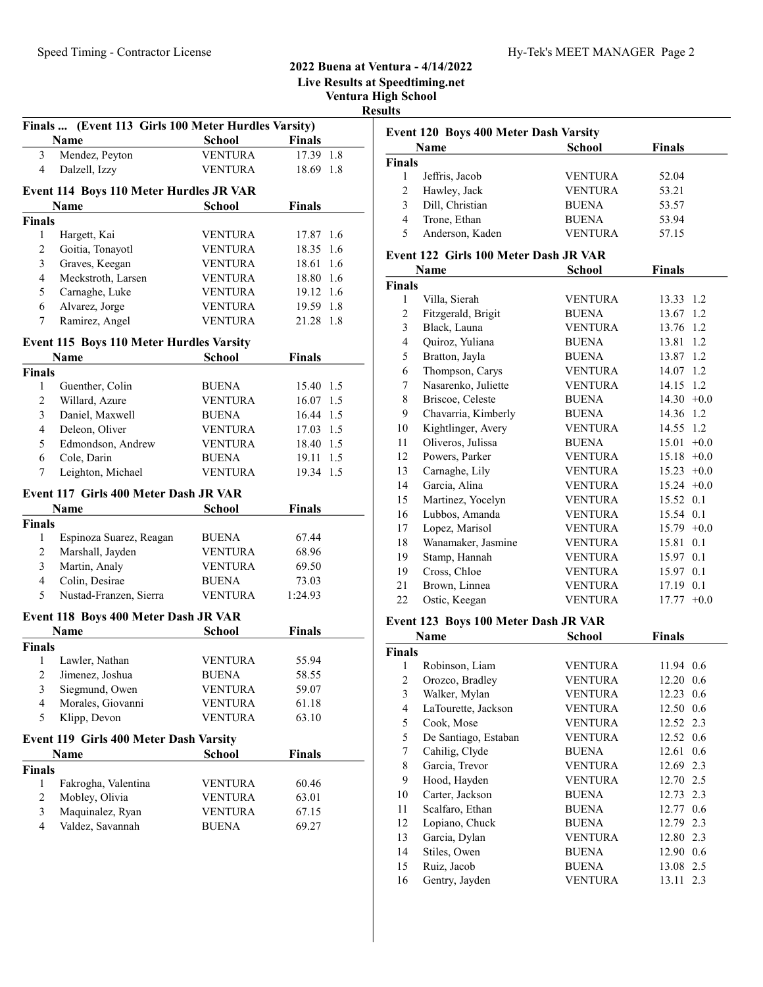|                         |                                                     |                | Live Results at S<br>Ventura H |  |
|-------------------------|-----------------------------------------------------|----------------|--------------------------------|--|
|                         |                                                     |                |                                |  |
|                         | Finals  (Event 113 Girls 100 Meter Hurdles Varsity) |                |                                |  |
|                         | Name                                                | <b>School</b>  | <b>Finals</b>                  |  |
| 3                       | Mendez, Peyton                                      | <b>VENTURA</b> | 17.39 1.8                      |  |
| 4                       | Dalzell, Izzy                                       | <b>VENTURA</b> | 18.69 1.8                      |  |
|                         | <b>Event 114 Boys 110 Meter Hurdles JR VAR</b>      |                |                                |  |
|                         | <b>Name</b>                                         | <b>School</b>  | <b>Finals</b>                  |  |
| Finals                  |                                                     |                |                                |  |
| 1                       | Hargett, Kai                                        | <b>VENTURA</b> | 17.87 1.6                      |  |
| $\mathfrak{2}$          | Goitia, Tonayotl                                    | <b>VENTURA</b> | 18.35<br>1.6                   |  |
| 3                       | Graves, Keegan                                      | <b>VENTURA</b> | 1.6<br>18.61                   |  |
| $\overline{4}$          | Meckstroth, Larsen                                  | <b>VENTURA</b> | 18.80 1.6                      |  |
| 5                       | Carnaghe, Luke                                      | <b>VENTURA</b> | 19.12 1.6                      |  |
| 6                       | Alvarez, Jorge                                      | <b>VENTURA</b> | 19.59 1.8                      |  |
| 7                       | Ramirez, Angel                                      | <b>VENTURA</b> | 21.28 1.8                      |  |
|                         | <b>Event 115 Boys 110 Meter Hurdles Varsity</b>     |                |                                |  |
|                         | <b>Name</b>                                         | <b>School</b>  | <b>Finals</b>                  |  |
| Finals                  |                                                     |                |                                |  |
| 1                       | Guenther, Colin                                     | <b>BUENA</b>   | 15.40 1.5                      |  |
| $\overline{c}$          | Willard, Azure                                      | <b>VENTURA</b> | 16.07<br>1.5                   |  |
| 3                       | Daniel, Maxwell                                     | <b>BUENA</b>   | 16.44 1.5                      |  |
| $\overline{4}$          | Deleon, Oliver                                      | <b>VENTURA</b> | 17.03 1.5                      |  |
| 5                       | Edmondson, Andrew                                   | <b>VENTURA</b> | 18.40 1.5                      |  |
| 6                       | Cole, Darin                                         | <b>BUENA</b>   | 19.11 1.5                      |  |
| 7                       | Leighton, Michael                                   | <b>VENTURA</b> | 19.34 1.5                      |  |
|                         | Event 117 Girls 400 Meter Dash JR VAR               |                |                                |  |
|                         | Name                                                | <b>School</b>  | <b>Finals</b>                  |  |
| Finals                  |                                                     |                |                                |  |
| 1                       | Espinoza Suarez, Reagan                             | <b>BUENA</b>   | 67.44                          |  |
| $\mathfrak{2}$          | Marshall, Jayden                                    | <b>VENTURA</b> | 68.96                          |  |
| 3                       | Martin, Analy                                       | <b>VENTURA</b> | 69.50                          |  |
| $\overline{4}$          | Colin, Desirae                                      | <b>BUENA</b>   | 73.03                          |  |
| 5                       | Nustad-Franzen, Sierra                              | <b>VENTURA</b> | 1:24.93                        |  |
|                         | Event 118 Boys 400 Meter Dash JR VAR                |                |                                |  |
|                         | Name                                                | <b>School</b>  | <b>Finals</b>                  |  |
| <b>Finals</b>           |                                                     |                |                                |  |
| $\mathbf{1}$            | Lawler, Nathan                                      | <b>VENTURA</b> | 55.94                          |  |
| $\overline{c}$          | Jimenez, Joshua                                     | <b>BUENA</b>   | 58.55                          |  |
| 3                       | Siegmund, Owen                                      | <b>VENTURA</b> | 59.07                          |  |
| $\overline{\mathbf{4}}$ | Morales, Giovanni                                   | <b>VENTURA</b> | 61.18                          |  |
| 5                       | Klipp, Devon                                        | <b>VENTURA</b> | 63.10                          |  |
|                         | Event 119 Girls 400 Meter Dash Varsity              |                |                                |  |
|                         | Name                                                | <b>School</b>  | <b>Finals</b>                  |  |
| Finals                  |                                                     |                |                                |  |
| $\mathbf{1}$            | Fakrogha, Valentina                                 | <b>VENTURA</b> | 60.46                          |  |
| $\mathfrak{2}$          | Mobley, Olivia                                      | <b>VENTURA</b> | 63.01                          |  |
| $\mathfrak{Z}$          | Maquinalez, Ryan                                    | <b>VENTURA</b> | 67.15                          |  |
| $\overline{4}$          | Valdez, Savannah                                    | <b>BUENA</b>   | 69.27                          |  |

## 2022 Buena at Ventura - 4/14/2022 Speedtiming.net

ligh School

sults

|               | Name            | <b>School</b>  | <b>Finals</b> |
|---------------|-----------------|----------------|---------------|
| <b>Finals</b> |                 |                |               |
|               | Jeffris, Jacob  | <b>VENTURA</b> | 52.04         |
| 2             | Hawley, Jack    | <b>VENTURA</b> | 53.21         |
| 3             | Dill, Christian | <b>BUENA</b>   | 53.57         |
| 4             | Trone, Ethan    | <b>BUENA</b>   | 53.94         |
| 5             | Anderson, Kaden | <b>VENTURA</b> | 57.15         |

# Event 122 Girls 100 Meter Dash JR VAR

|                | Name                | School         | <b>Finals</b>   |
|----------------|---------------------|----------------|-----------------|
| <b>Finals</b>  |                     |                |                 |
| 1              | Villa, Sierah       | <b>VENTURA</b> | 13.33 1.2       |
| 2              | Fitzgerald, Brigit  | <b>BUENA</b>   | 13.67<br>1.2    |
| 3              | Black, Launa        | <b>VENTURA</b> | 1.2<br>13.76    |
| $\overline{4}$ | Quiroz, Yuliana     | <b>BUENA</b>   | 13.81<br>1.2    |
| 5              | Bratton, Jayla      | <b>BUENA</b>   | 1.2<br>13.87    |
| 6              | Thompson, Carys     | <b>VENTURA</b> | 14.07<br>1.2    |
| 7              | Nasarenko, Juliette | <b>VENTURA</b> | 1.2<br>14.15    |
| 8              | Briscoe, Celeste    | <b>BUENA</b>   | $+0.0$<br>14.30 |
| 9              | Chavarria, Kimberly | <b>BUENA</b>   | 14.36<br>1.2    |
| 10             | Kightlinger, Avery  | <b>VENTURA</b> | 1.2<br>14.55    |
| 11             | Oliveros, Julissa   | <b>BUENA</b>   | 15.01<br>$+0.0$ |
| 12             | Powers, Parker      | <b>VENTURA</b> | 15.18<br>$+0.0$ |
| 13             | Carnaghe, Lily      | <b>VENTURA</b> | 15.23<br>$+0.0$ |
| 14             | Garcia, Alina       | <b>VENTURA</b> | $+0.0$<br>15.24 |
| 15             | Martinez, Yocelyn   | <b>VENTURA</b> | 15.52<br>0.1    |
| 16             | Lubbos, Amanda      | <b>VENTURA</b> | 15.54<br>0.1    |
| 17             | Lopez, Marisol      | <b>VENTURA</b> | 15.79<br>$+0.0$ |
| 18             | Wanamaker, Jasmine  | <b>VENTURA</b> | 15.81<br>0.1    |
| 19             | Stamp, Hannah       | <b>VENTURA</b> | 15.97<br>0.1    |
| 19             | Cross, Chloe        | <b>VENTURA</b> | 0.1<br>15.97    |
| 21             | Brown, Linnea       | <b>VENTURA</b> | 0.1<br>17.19    |
| 22             | Ostic, Keegan       | <b>VENTURA</b> | 17.77<br>$+0.0$ |

# Event 123 Boys 100 Meter Dash JR VAR

|               | Name                 | School         | <b>Finals</b>   |
|---------------|----------------------|----------------|-----------------|
| <b>Finals</b> |                      |                |                 |
| 1             | Robinson, Liam       | <b>VENTURA</b> | 11.94 0.6       |
| 2             | Orozco, Bradley      | <b>VENTURA</b> | $12.20 \ \ 0.6$ |
| 3             | Walker, Mylan        | <b>VENTURA</b> | 12.23 0.6       |
| 4             | LaTourette, Jackson  | <b>VENTURA</b> | 12.50 0.6       |
| 5             | Cook, Mose           | <b>VENTURA</b> | 12.52 2.3       |
| 5             | De Santiago, Estaban | <b>VENTURA</b> | 12.52 0.6       |
| 7             | Cahilig, Clyde       | <b>BUENA</b>   | 12.61 0.6       |
| 8             | Garcia, Trevor       | <b>VENTURA</b> | 12.69 2.3       |
| 9             | Hood, Hayden         | <b>VENTURA</b> | 12.70 2.5       |
| 10            | Carter, Jackson      | <b>BUENA</b>   | 12.73 2.3       |
| 11            | Scalfaro, Ethan      | <b>BUENA</b>   | 12.77 0.6       |
| 12            | Lopiano, Chuck       | <b>BUENA</b>   | 12.79 2.3       |
| 13            | Garcia, Dylan        | <b>VENTURA</b> | 12.80<br>2.3    |
| 14            | Stiles, Owen         | <b>BUENA</b>   | 12.90<br>0.6    |
| 15            | Ruiz, Jacob          | <b>BUENA</b>   | 13.08<br>2.5    |
| 16            | Gentry, Jayden       | VENTURA        | 2.3<br>13.11    |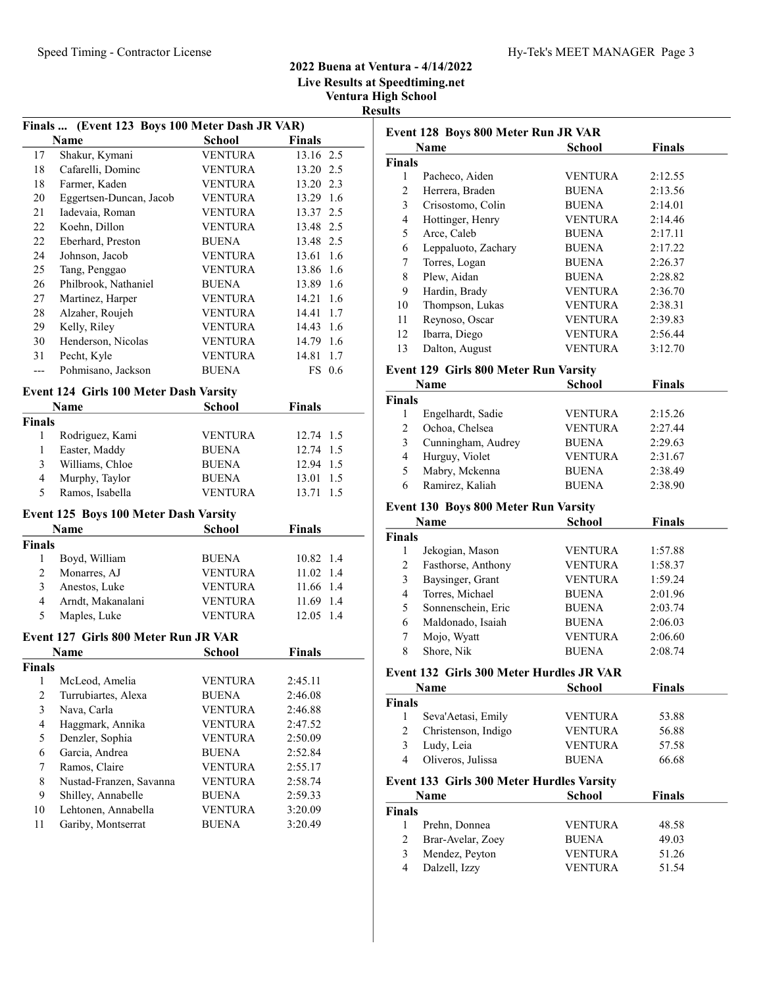## 2022 Buena at Ventura - 4/14/2022 Live Results at Speedtiming.net

Ventura High School Results

|                | Finals  (Event 123 Boys 100 Meter Dash JR VAR) |                |               |  |
|----------------|------------------------------------------------|----------------|---------------|--|
|                | Name                                           | <b>School</b>  | <b>Finals</b> |  |
| 17             | Shakur, Kymani                                 | VENTURA        | 13.16 2.5     |  |
| 18             | Cafarelli, Dominc                              | VENTURA        | 13.20 2.5     |  |
| 18             | Farmer, Kaden                                  | <b>VENTURA</b> | 13.20 2.3     |  |
| 20             | Eggertsen-Duncan, Jacob                        | <b>VENTURA</b> | 13.29 1.6     |  |
| 21             | Iadevaia, Roman                                | <b>VENTURA</b> | 13.37 2.5     |  |
| 22             | Koehn, Dillon                                  | <b>VENTURA</b> | 13.48 2.5     |  |
| 22             | Eberhard, Preston                              | <b>BUENA</b>   | 13.48 2.5     |  |
| 24             | Johnson, Jacob                                 | <b>VENTURA</b> | 13.61 1.6     |  |
| 25             | Tang, Penggao                                  | <b>VENTURA</b> | 13.86 1.6     |  |
| 26             | Philbrook, Nathaniel                           | <b>BUENA</b>   | 1.6<br>13.89  |  |
| 27             | Martinez, Harper                               | <b>VENTURA</b> | 1.6<br>14.21  |  |
| 28             | Alzaher, Roujeh                                | <b>VENTURA</b> | 1.7<br>14.41  |  |
| 29             | Kelly, Riley                                   | <b>VENTURA</b> | 14.43<br>1.6  |  |
| 30             | Henderson, Nicolas                             | <b>VENTURA</b> | 14.79<br>1.6  |  |
| 31             | Pecht, Kyle                                    | <b>VENTURA</b> | 14.81<br>1.7  |  |
| ---            | Pohmisano, Jackson                             | <b>BUENA</b>   | FS 0.6        |  |
|                | Event 124 Girls 100 Meter Dash Varsity         |                |               |  |
|                | <b>Name</b>                                    | <b>School</b>  | <b>Finals</b> |  |
| <b>Finals</b>  |                                                |                |               |  |
| 1              | Rodriguez, Kami                                | <b>VENTURA</b> | 12.74 1.5     |  |
| 1              | Easter, Maddy                                  | <b>BUENA</b>   | 12.74 1.5     |  |
| 3              | Williams, Chloe                                | <b>BUENA</b>   | 12.94 1.5     |  |
| 4              | Murphy, Taylor                                 | <b>BUENA</b>   | 13.01<br>1.5  |  |
| 5              | Ramos, Isabella                                | <b>VENTURA</b> | 1.5<br>13.71  |  |
|                | Event 125 Boys 100 Meter Dash Varsity          |                |               |  |
|                | <b>Name</b>                                    | <b>School</b>  | <b>Finals</b> |  |
| <b>Finals</b>  |                                                |                |               |  |
| 1              | Boyd, William                                  | <b>BUENA</b>   | 10.82 1.4     |  |
| $\overline{c}$ | Monarres, AJ                                   | VENTURA        | 11.02<br>1.4  |  |
| 3              | Anestos, Luke                                  | <b>VENTURA</b> | 11.66 1.4     |  |
| $\overline{4}$ | Arndt, Makanalani                              | <b>VENTURA</b> | 11.69 1.4     |  |
| 5              | Maples, Luke                                   | <b>VENTURA</b> | 12.05 1.4     |  |
|                |                                                |                |               |  |
|                | Event 127 Girls 800 Meter Run JR VAR           |                |               |  |
|                | Name                                           | <b>School</b>  | <b>Finals</b> |  |
| <b>Finals</b>  |                                                |                |               |  |
| 1              | McLeod, Amelia                                 | <b>VENTURA</b> | 2:45.11       |  |
| $\overline{c}$ | Turrubiartes, Alexa                            | <b>BUENA</b>   | 2:46.08       |  |
| 3              | Nava, Carla                                    | <b>VENTURA</b> | 2:46.88       |  |
| $\overline{4}$ | Haggmark, Annika                               | <b>VENTURA</b> | 2:47.52       |  |
| 5              | Denzler, Sophia                                | <b>VENTURA</b> | 2:50.09       |  |
| 6              | Garcia, Andrea                                 | <b>BUENA</b>   | 2:52.84       |  |
| 7              | Ramos, Claire                                  | <b>VENTURA</b> | 2:55.17       |  |
| 8              | Nustad-Franzen, Savanna                        | <b>VENTURA</b> | 2:58.74       |  |
| 9              | Shilley, Annabelle                             | <b>BUENA</b>   | 2:59.33       |  |
| 10             | Lehtonen, Annabella                            | <b>VENTURA</b> | 3:20.09       |  |
| 11             | Gariby, Montserrat                             | <b>BUENA</b>   | 3:20.49       |  |

| Event 128 Boys 800 Meter Run JR VAR |                                                 |                         |               |
|-------------------------------------|-------------------------------------------------|-------------------------|---------------|
|                                     | Name                                            | <b>School</b>           | <b>Finals</b> |
| <b>Finals</b>                       |                                                 |                         |               |
| 1                                   | Pacheco, Aiden                                  | VENTURA                 | 2:12.55       |
| 2                                   | Herrera, Braden                                 | <b>BUENA</b>            | 2:13.56       |
| 3                                   | Crisostomo, Colin                               | <b>BUENA</b>            | 2:14.01       |
| $\overline{4}$                      | Hottinger, Henry                                | <b>VENTURA</b>          | 2:14.46       |
| 5                                   | Arce, Caleb                                     | <b>BUENA</b>            | 2:17.11       |
| 6                                   | Leppaluoto, Zachary                             | <b>BUENA</b>            | 2:17.22       |
| 7                                   | Torres, Logan                                   | <b>BUENA</b>            | 2:26.37       |
| 8                                   | Plew, Aidan                                     | <b>BUENA</b>            | 2:28.82       |
| 9                                   | Hardin, Brady                                   | VENTURA                 | 2:36.70       |
| 10                                  | Thompson, Lukas                                 | VENTURA                 | 2:38.31       |
| 11                                  | Reynoso, Oscar                                  | <b>VENTURA</b>          | 2:39.83       |
| 12                                  | Ibarra, Diego                                   | <b>VENTURA</b>          | 2:56.44       |
| 13                                  | Dalton, August                                  | <b>VENTURA</b>          | 3:12.70       |
|                                     | <b>Event 129 Girls 800 Meter Run Varsity</b>    |                         |               |
|                                     | Name                                            | <b>School</b>           | <b>Finals</b> |
| <b>Finals</b>                       |                                                 |                         |               |
| 1                                   | Engelhardt, Sadie                               | VENTURA                 | 2:15.26       |
| 2                                   | Ochoa, Chelsea                                  | <b>VENTURA</b>          | 2:27.44       |
| 3                                   | Cunningham, Audrey                              | <b>BUENA</b>            | 2:29.63       |
| 4                                   | Hurguy, Violet                                  | VENTURA                 | 2:31.67       |
| 5                                   | Mabry, Mckenna                                  | <b>BUENA</b>            | 2:38.49       |
| 6                                   | Ramirez, Kaliah                                 | <b>BUENA</b>            | 2:38.90       |
|                                     | Event 130 Boys 800 Meter Run Varsity            |                         |               |
|                                     | <b>Name</b>                                     | <b>School</b>           | <b>Finals</b> |
| <b>Finals</b>                       |                                                 |                         |               |
| 1                                   | Jekogian, Mason                                 | VENTURA                 | 1:57.88       |
| 2                                   | Fasthorse, Anthony                              | <b>VENTURA</b>          | 1:58.37       |
| 3                                   | Baysinger, Grant                                | <b>VENTURA</b>          | 1:59.24       |
| 4                                   | Torres, Michael                                 | <b>BUENA</b>            | 2:01.96       |
| 5                                   | Sonnenschein, Eric                              | <b>BUENA</b>            | 2:03.74       |
| 6                                   | Maldonado, Isaiah                               | <b>BUENA</b>            | 2:06.03       |
| 7                                   | Mojo, Wyatt                                     | <b>VENTURA</b>          | 2:06.60       |
| 8                                   | Shore, Nik                                      | <b>BUENA</b>            | 2:08.74       |
|                                     | <b>Event 132 Girls 300 Meter Hurdles JR VAR</b> |                         |               |
|                                     | Name                                            | <b>School</b>           | <b>Finals</b> |
| <b>Finals</b>                       |                                                 |                         |               |
| 1                                   | Seva'Aetasi, Emily                              | <b>VENTURA</b>          | 53.88         |
| 2                                   | Christenson, Indigo                             | <b>VENTURA</b>          | 56.88         |
| 3                                   |                                                 |                         | 57.58         |
| 4                                   | Ludy, Leia<br>Oliveros, Julissa                 | VENTURA<br><b>BUENA</b> | 66.68         |
|                                     |                                                 |                         |               |
|                                     | Event 133 Girls 300 Meter Hurdles Varsity       |                         |               |
|                                     | Name                                            | <b>School</b>           | <b>Finals</b> |
| <b>Finals</b>                       |                                                 |                         |               |
| 1                                   | Prehn, Donnea                                   | <b>VENTURA</b>          | 48.58         |
| 2                                   | Brar-Avelar, Zoey                               | BUENA                   | 49.03         |
| 3                                   | Mendez, Peyton                                  | <b>VENTURA</b>          | 51.26         |
| 4                                   | Dalzell, Izzy                                   | <b>VENTURA</b>          | 51.54         |
|                                     |                                                 |                         |               |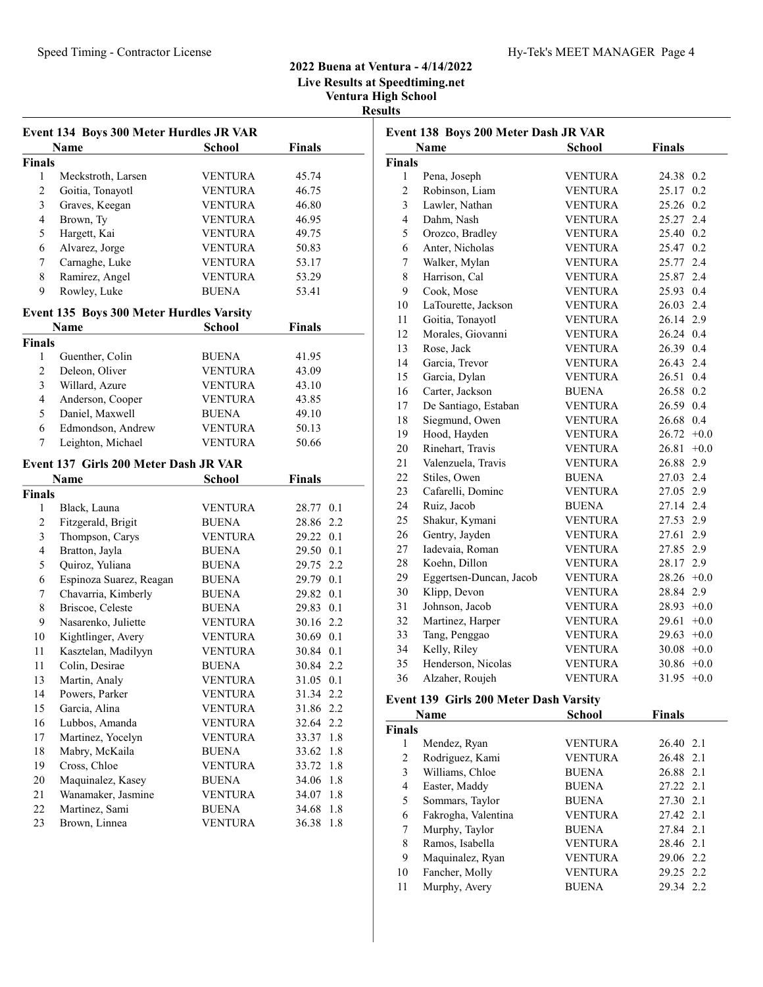# 2022 Buena at Ventura - 4/14/2022 Live Results at Speedtiming.net Ventura High School

Results

| Event 134 Boys 300 Meter Hurdles JR VAR |                                          |                                |                              |  |
|-----------------------------------------|------------------------------------------|--------------------------------|------------------------------|--|
|                                         | <b>Name</b>                              | <b>School</b>                  | <b>Finals</b>                |  |
| Finals                                  |                                          |                                |                              |  |
| 1                                       | Meckstroth, Larsen                       | VENTURA                        | 45.74                        |  |
| 2                                       | Goitia, Tonayotl                         | <b>VENTURA</b>                 | 46.75                        |  |
| 3                                       | Graves, Keegan                           | <b>VENTURA</b>                 | 46.80                        |  |
| 4                                       | Brown, Ty                                | <b>VENTURA</b>                 | 46.95                        |  |
| 5                                       | Hargett, Kai                             | <b>VENTURA</b>                 | 49.75                        |  |
| 6                                       | Alvarez, Jorge                           | <b>VENTURA</b>                 | 50.83                        |  |
| 7                                       | Carnaghe, Luke                           | <b>VENTURA</b>                 | 53.17                        |  |
| 8                                       | Ramirez, Angel                           | <b>VENTURA</b>                 | 53.29                        |  |
| 9                                       | Rowley, Luke                             | <b>BUENA</b>                   | 53.41                        |  |
|                                         | Event 135 Boys 300 Meter Hurdles Varsity |                                |                              |  |
|                                         | Name                                     | <b>School</b>                  | <b>Finals</b>                |  |
| <b>Finals</b>                           |                                          |                                |                              |  |
| 1                                       | Guenther, Colin                          | <b>BUENA</b>                   | 41.95                        |  |
| 2                                       | Deleon, Oliver                           | VENTURA                        | 43.09                        |  |
| 3                                       | Willard, Azure                           | <b>VENTURA</b>                 | 43.10                        |  |
| 4                                       | Anderson, Cooper                         | <b>VENTURA</b>                 | 43.85                        |  |
| 5                                       | Daniel, Maxwell                          | <b>BUENA</b>                   | 49.10                        |  |
| 6                                       | Edmondson, Andrew                        | <b>VENTURA</b>                 | 50.13                        |  |
| 7                                       | Leighton, Michael                        | <b>VENTURA</b>                 | 50.66                        |  |
|                                         |                                          |                                |                              |  |
|                                         | Event 137 Girls 200 Meter Dash JR VAR    |                                |                              |  |
|                                         | <b>Name</b>                              | School                         | <b>Finals</b>                |  |
| <b>Finals</b><br>1                      | Black, Launa                             | VENTURA                        | 28.77 0.1                    |  |
| 2                                       | Fitzgerald, Brigit                       | <b>BUENA</b>                   | 28.86 2.2                    |  |
| 3                                       |                                          | VENTURA                        | 29.22 0.1                    |  |
| 4                                       | Thompson, Carys                          |                                |                              |  |
|                                         |                                          |                                |                              |  |
|                                         | Bratton, Jayla                           | <b>BUENA</b>                   | 29.50 0.1                    |  |
| 5                                       | Quiroz, Yuliana                          | <b>BUENA</b>                   | 29.75 2.2                    |  |
| 6                                       | Espinoza Suarez, Reagan                  | <b>BUENA</b>                   | 29.79 0.1                    |  |
| 7                                       | Chavarria, Kimberly                      | <b>BUENA</b>                   | 29.82 0.1                    |  |
| 8                                       | Briscoe, Celeste                         | <b>BUENA</b>                   | 29.83 0.1                    |  |
| 9                                       | Nasarenko, Juliette                      | <b>VENTURA</b>                 | 30.16 2.2                    |  |
| 10                                      | Kightlinger, Avery                       | <b>VENTURA</b>                 | 30.69 0.1                    |  |
| 11                                      | Kasztelan, Madilyyn                      | <b>VENTURA</b>                 | 30.84 0.1                    |  |
| 11                                      | Colin, Desirae                           | <b>BUENA</b>                   | 30.84 2.2                    |  |
| 13                                      | Martin, Analy                            | <b>VENTURA</b>                 | 31.05 0.1                    |  |
| 14                                      | Powers, Parker                           | <b>VENTURA</b>                 | 31.34 2.2                    |  |
| 15                                      | Garcia, Alina                            | <b>VENTURA</b>                 | 31.86<br>2.2                 |  |
| 16                                      | Lubbos, Amanda                           | <b>VENTURA</b>                 | 32.64<br>2.2                 |  |
| 17                                      | Martinez, Yocelyn                        | <b>VENTURA</b>                 | 33.37<br>1.8                 |  |
| 18                                      | Mabry, McKaila                           | <b>BUENA</b>                   | 33.62<br>1.8                 |  |
| 19                                      | Cross, Chloe                             | <b>VENTURA</b>                 | 33.72<br>1.8                 |  |
| $20\,$                                  | Maquinalez, Kasey                        | <b>BUENA</b>                   | 1.8<br>34.06                 |  |
| 21                                      | Wanamaker, Jasmine                       | <b>VENTURA</b>                 | 1.8<br>34.07                 |  |
| $22\,$<br>23                            | Martinez, Sami<br>Brown, Linnea          | <b>BUENA</b><br><b>VENTURA</b> | 34.68<br>1.8<br>36.38<br>1.8 |  |

| Event 138 Boys 200 Meter Dash JR VAR |                         |                |               |        |
|--------------------------------------|-------------------------|----------------|---------------|--------|
|                                      | <b>Name</b>             | <b>School</b>  | <b>Finals</b> |        |
| Finals                               |                         |                |               |        |
| 1                                    | Pena, Joseph            | <b>VENTURA</b> | 24.38         | 0.2    |
| $\overline{c}$                       | Robinson, Liam          | <b>VENTURA</b> | 25.17         | 0.2    |
| 3                                    | Lawler, Nathan          | <b>VENTURA</b> | 25.26         | 0.2    |
| $\overline{4}$                       | Dahm, Nash              | <b>VENTURA</b> | 25.27 2.4     |        |
| 5                                    | Orozco, Bradley         | <b>VENTURA</b> | 25.40 0.2     |        |
| 6                                    | Anter, Nicholas         | <b>VENTURA</b> | 25.47 0.2     |        |
| $\overline{7}$                       | Walker, Mylan           | <b>VENTURA</b> | 25.77         | 2.4    |
| 8                                    | Harrison, Cal           | <b>VENTURA</b> | 25.87         | 2.4    |
| 9                                    | Cook, Mose              | <b>VENTURA</b> | 25.93         | 0.4    |
| 10                                   | LaTourette, Jackson     | <b>VENTURA</b> | 26.03         | 2.4    |
| 11                                   | Goitia, Tonayotl        | <b>VENTURA</b> | 26.14         | 2.9    |
| 12                                   | Morales, Giovanni       | <b>VENTURA</b> | 26.24         | 0.4    |
| 13                                   | Rose, Jack              | <b>VENTURA</b> | 26.39         | 0.4    |
| 14                                   | Garcia, Trevor          | <b>VENTURA</b> | 26.43         | 2.4    |
| 15                                   | Garcia, Dylan           | <b>VENTURA</b> | 26.51         | 0.4    |
| 16                                   | Carter, Jackson         | <b>BUENA</b>   | 26.58         | 0.2    |
| 17                                   | De Santiago, Estaban    | <b>VENTURA</b> | 26.59         | 0.4    |
| 18                                   | Siegmund, Owen          | <b>VENTURA</b> | 26.68         | 0.4    |
| 19                                   | Hood, Hayden            | <b>VENTURA</b> | 26.72         | $+0.0$ |
| 20                                   | Rinehart, Travis        | <b>VENTURA</b> | 26.81         | $+0.0$ |
| 21                                   | Valenzuela, Travis      | <b>VENTURA</b> | 26.88         | 2.9    |
| 22                                   | Stiles, Owen            | <b>BUENA</b>   | 27.03         | 2.4    |
| 23                                   | Cafarelli, Dominc       | <b>VENTURA</b> | 27.05         | 2.9    |
| 24                                   | Ruiz, Jacob             | <b>BUENA</b>   | 27.14 2.4     |        |
| 25                                   | Shakur, Kymani          | <b>VENTURA</b> | 27.53         | 2.9    |
| 26                                   | Gentry, Jayden          | <b>VENTURA</b> | 27.61         | 2.9    |
| 27                                   | Iadevaia, Roman         | <b>VENTURA</b> | 27.85         | 2.9    |
| 28                                   | Koehn, Dillon           | <b>VENTURA</b> | 28.17 2.9     |        |
| 29                                   | Eggertsen-Duncan, Jacob | <b>VENTURA</b> | $28.26 +0.0$  |        |
| 30                                   | Klipp, Devon            | <b>VENTURA</b> | 28.84 2.9     |        |
| 31                                   | Johnson, Jacob          | <b>VENTURA</b> | 28.93         | $+0.0$ |
| 32                                   | Martinez, Harper        | <b>VENTURA</b> | 29.61         | $+0.0$ |
| 33                                   | Tang, Penggao           | <b>VENTURA</b> | $29.63 + 0.0$ |        |
| 34                                   | Kelly, Riley            | <b>VENTURA</b> | $30.08 + 0.0$ |        |
| 35                                   | Henderson, Nicolas      | <b>VENTURA</b> | $30.86 + 0.0$ |        |
| 36                                   | Alzaher, Roujeh         | <b>VENTURA</b> | 31.95         | $+0.0$ |

#### Event 139 Girls 200 Meter Dash Varsity

|               | Name                | <b>School</b>  | <b>Finals</b> |
|---------------|---------------------|----------------|---------------|
| <b>Finals</b> |                     |                |               |
| 1             | Mendez, Ryan        | <b>VENTURA</b> | 26.40 2.1     |
| 2             | Rodriguez, Kami     | <b>VENTURA</b> | 26.48 2.1     |
| 3             | Williams, Chloe     | <b>BUENA</b>   | 26.88 2.1     |
| 4             | Easter, Maddy       | <b>BUENA</b>   | 27.22 2.1     |
| 5             | Sommars, Taylor     | <b>BUENA</b>   | 27.30 2.1     |
| 6             | Fakrogha, Valentina | <b>VENTURA</b> | 27.42 2.1     |
| 7             | Murphy, Taylor      | <b>BUENA</b>   | 27.84 2.1     |
| 8             | Ramos, Isabella     | <b>VENTURA</b> | 28.46 2.1     |
| 9             | Maquinalez, Ryan    | <b>VENTURA</b> | 29.06 2.2     |
| 10            | Fancher, Molly      | <b>VENTURA</b> | 29.25 2.2     |
| 11            | Murphy, Avery       | <b>BUENA</b>   | 29.34 2.2     |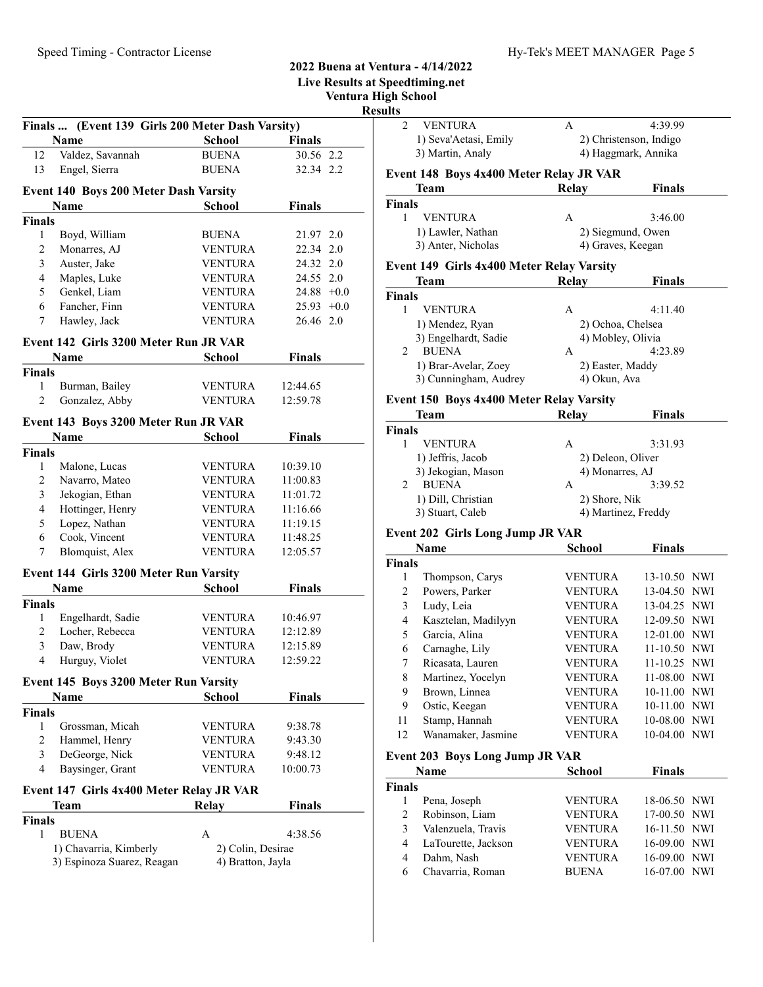|                |                                                      |                   |                 | <b>Live Results at Spee</b><br>Ventura High<br><b>Results</b> |
|----------------|------------------------------------------------------|-------------------|-----------------|---------------------------------------------------------------|
|                | Finals  (Event 139 Girls 200 Meter Dash Varsity)     |                   |                 |                                                               |
|                | Name                                                 | School            | <b>Finals</b>   |                                                               |
| 12             | Valdez, Savannah                                     | <b>BUENA</b>      | 30.56 2.2       |                                                               |
| 13             | Engel, Sierra                                        | <b>BUENA</b>      | 32.34 2.2       | Ev                                                            |
|                | <b>Event 140 Boys 200 Meter Dash Varsity</b>         |                   |                 |                                                               |
|                | Name                                                 | <b>School</b>     | <b>Finals</b>   | Fin                                                           |
| Finals         |                                                      |                   |                 |                                                               |
| 1              | Boyd, William                                        | <b>BUENA</b>      | 21.97 2.0       |                                                               |
| $\overline{2}$ | Monarres, AJ                                         | <b>VENTURA</b>    | 22.34 2.0       |                                                               |
| 3              | Auster, Jake                                         | <b>VENTURA</b>    | 24.32 2.0       | Ev                                                            |
| $\overline{4}$ | Maples, Luke                                         | <b>VENTURA</b>    | 24.55 2.0       |                                                               |
| 5              | Genkel, Liam                                         | <b>VENTURA</b>    | 24.88<br>$+0.0$ | Fin                                                           |
| 6              | Fancher, Finn                                        | <b>VENTURA</b>    | $25.93 +0.0$    |                                                               |
| 7              | Hawley, Jack                                         | <b>VENTURA</b>    | 26.46 2.0       |                                                               |
|                | Event 142 Girls 3200 Meter Run JR VAR                |                   |                 |                                                               |
|                | <b>Name</b>                                          | School            | <b>Finals</b>   |                                                               |
| Finals         |                                                      |                   |                 |                                                               |
| 1              | Burman, Bailey                                       | <b>VENTURA</b>    | 12:44.65        |                                                               |
| $\overline{2}$ | Gonzalez, Abby                                       | <b>VENTURA</b>    | 12:59.78        | Ev                                                            |
|                | Event 143 Boys 3200 Meter Run JR VAR                 |                   |                 |                                                               |
|                | Name                                                 | <b>School</b>     | <b>Finals</b>   | Fin                                                           |
| Finals         |                                                      |                   |                 |                                                               |
| 1              | Malone, Lucas                                        | <b>VENTURA</b>    | 10:39.10        |                                                               |
| $\overline{c}$ | Navarro, Mateo                                       | <b>VENTURA</b>    | 11:00.83        |                                                               |
| 3              | Jekogian, Ethan                                      | <b>VENTURA</b>    | 11:01.72        |                                                               |
| $\overline{4}$ | Hottinger, Henry                                     | <b>VENTURA</b>    | 11:16.66        |                                                               |
| 5              | Lopez, Nathan                                        | <b>VENTURA</b>    | 11:19.15        |                                                               |
| 6              | Cook, Vincent                                        | <b>VENTURA</b>    | 11:48.25        | Ev                                                            |
| 7              | Blomquist, Alex                                      | <b>VENTURA</b>    | 12:05.57        |                                                               |
|                |                                                      |                   |                 | Fin                                                           |
|                | Event 144 Girls 3200 Meter Run Varsity<br>Name       | School            | <b>Finals</b>   |                                                               |
| <b>Finals</b>  |                                                      |                   |                 |                                                               |
| 1              | Engelhardt, Sadie                                    | <b>VENTURA</b>    | 10:46.97        |                                                               |
|                | 2 Locher, Rebecca                                    | <b>VENTURA</b>    | 12:12.89        |                                                               |
| 3              | Daw, Brody                                           | <b>VENTURA</b>    | 12:15.89        |                                                               |
| 4              | Hurguy, Violet                                       | <b>VENTURA</b>    | 12:59.22        |                                                               |
|                |                                                      |                   |                 |                                                               |
|                | <b>Event 145 Boys 3200 Meter Run Varsity</b><br>Name |                   |                 |                                                               |
| Finals         |                                                      | School            | <b>Finals</b>   |                                                               |
| 1              | Grossman, Micah                                      | <b>VENTURA</b>    | 9:38.78         | 1                                                             |
| 2              | Hammel, Henry                                        | <b>VENTURA</b>    | 9:43.30         | 1                                                             |
| 3              | DeGeorge, Nick                                       | <b>VENTURA</b>    | 9:48.12         |                                                               |
| $\overline{4}$ | Baysinger, Grant                                     | <b>VENTURA</b>    | 10:00.73        | Ev                                                            |
|                |                                                      |                   |                 | Fin                                                           |
|                | Event 147 Girls 4x400 Meter Relay JR VAR             |                   |                 |                                                               |
|                | Team                                                 | <b>Relay</b>      | <b>Finals</b>   |                                                               |
| Finals<br>1    | <b>BUENA</b>                                         | A                 | 4:38.56         |                                                               |
|                | 1) Chavarria, Kimberly                               | 2) Colin, Desirae |                 |                                                               |
|                | 3) Espinoza Suarez, Reagan                           | 4) Bratton, Jayla |                 |                                                               |

# 2022 Buena at Ventura - 4/14/2022

peedtiming.net

h School<sup>'</sup>

| 2                                   | <b>VENTURA</b>                            | А                              | 4:39.99                                |
|-------------------------------------|-------------------------------------------|--------------------------------|----------------------------------------|
|                                     | 1) Seva'Aetasi, Emily                     |                                | 2) Christenson, Indigo                 |
|                                     | 3) Martin, Analy                          |                                | 4) Haggmark, Annika                    |
|                                     | Event 148 Boys 4x400 Meter Relay JR VAR   |                                |                                        |
|                                     | Team                                      | Relay                          | <b>Finals</b>                          |
| <b>Finals</b>                       |                                           |                                |                                        |
| 1                                   | <b>VENTURA</b>                            | A                              | 3:46.00                                |
|                                     | 1) Lawler, Nathan<br>3) Anter, Nicholas   |                                | 2) Siegmund, Owen<br>4) Graves, Keegan |
|                                     |                                           |                                |                                        |
|                                     | Event 149 Girls 4x400 Meter Relay Varsity |                                |                                        |
|                                     | Team                                      | <b>Relay</b>                   | Finals                                 |
| <b>Finals</b><br>1                  | <b>VENTURA</b>                            | A                              | 4:11.40                                |
|                                     | 1) Mendez, Ryan                           |                                | 2) Ochoa, Chelsea                      |
|                                     | 3) Engelhardt, Sadie                      |                                | 4) Mobley, Olivia                      |
| 2                                   | <b>BUENA</b>                              | A                              | 4:23.89                                |
|                                     | 1) Brar-Avelar, Zoey                      |                                | 2) Easter, Maddy                       |
|                                     | 3) Cunningham, Audrey                     | 4) Okun, Ava                   |                                        |
|                                     | Event 150 Boys 4x400 Meter Relay Varsity  |                                |                                        |
|                                     | Team                                      | <b>Relay</b>                   | Finals                                 |
| <b>Finals</b>                       |                                           |                                |                                        |
| 1                                   | <b>VENTURA</b>                            | A                              | 3:31.93                                |
|                                     | 1) Jeffris, Jacob                         |                                | 2) Deleon, Oliver                      |
|                                     | 3) Jekogian, Mason                        | 4) Monarres, AJ                |                                        |
| 2                                   | <b>BUENA</b><br>1) Dill, Christian        | А                              | 3:39.52                                |
|                                     |                                           |                                |                                        |
|                                     |                                           | 2) Shore, Nik                  |                                        |
|                                     | 3) Stuart, Caleb                          |                                | 4) Martinez, Freddy                    |
|                                     | <b>Event 202 Girls Long Jump JR VAR</b>   |                                |                                        |
|                                     | <b>Name</b>                               | <b>School</b>                  | Finals                                 |
|                                     |                                           |                                |                                        |
| 1                                   | Thompson, Carys                           | <b>VENTURA</b>                 | 13-10.50 NWI                           |
| 2<br>3                              | Powers, Parker                            | VENTURA<br><b>VENTURA</b>      | 13-04.50 NWI                           |
| 4                                   | Ludy, Leia<br>Kasztelan, Madilyyn         | <b>VENTURA</b>                 | 13-04.25 NWI<br>12-09.50 NWI           |
| 5                                   | Garcia, Alina                             | <b>VENTURA</b>                 | 12-01.00 NWI                           |
| 6                                   | Carnaghe, Lily                            | <b>VENTURA</b>                 | 11-10.50 NWI                           |
| 7                                   | Ricasata, Lauren                          | <b>VENTURA</b>                 | 11-10.25 NWI                           |
| 8                                   | Martinez, Yocelyn                         | <b>VENTURA</b>                 | 11-08.00 NWI                           |
| 9                                   | Brown, Linnea                             | <b>VENTURA</b>                 | 10-11.00 NWI                           |
| 9                                   | Ostic, Keegan                             | <b>VENTURA</b>                 | 10-11.00 NWI                           |
| 11                                  | Stamp, Hannah                             | <b>VENTURA</b>                 | 10-08.00 NWI                           |
| 12                                  | Wanamaker, Jasmine                        | <b>VENTURA</b>                 | 10-04.00 NWI                           |
|                                     | <b>Event 203 Boys Long Jump JR VAR</b>    |                                |                                        |
|                                     | Name                                      | School                         | <b>Finals</b>                          |
|                                     |                                           |                                |                                        |
| 1                                   | Pena, Joseph                              | <b>VENTURA</b>                 | 18-06.50 NWI                           |
| $\overline{c}$                      | Robinson, Liam                            | <b>VENTURA</b>                 | 17-00.50 NWI                           |
| 3                                   | Valenzuela, Travis                        | <b>VENTURA</b>                 | 16-11.50 NWI                           |
| <b>Finals</b><br><b>Finals</b><br>4 | LaTourette, Jackson                       | <b>VENTURA</b>                 | 16-09.00 NWI                           |
| 4<br>6                              | Dahm, Nash<br>Chavarria, Roman            | <b>VENTURA</b><br><b>BUENA</b> | 16-09.00 NWI<br>16-07.00 NWI           |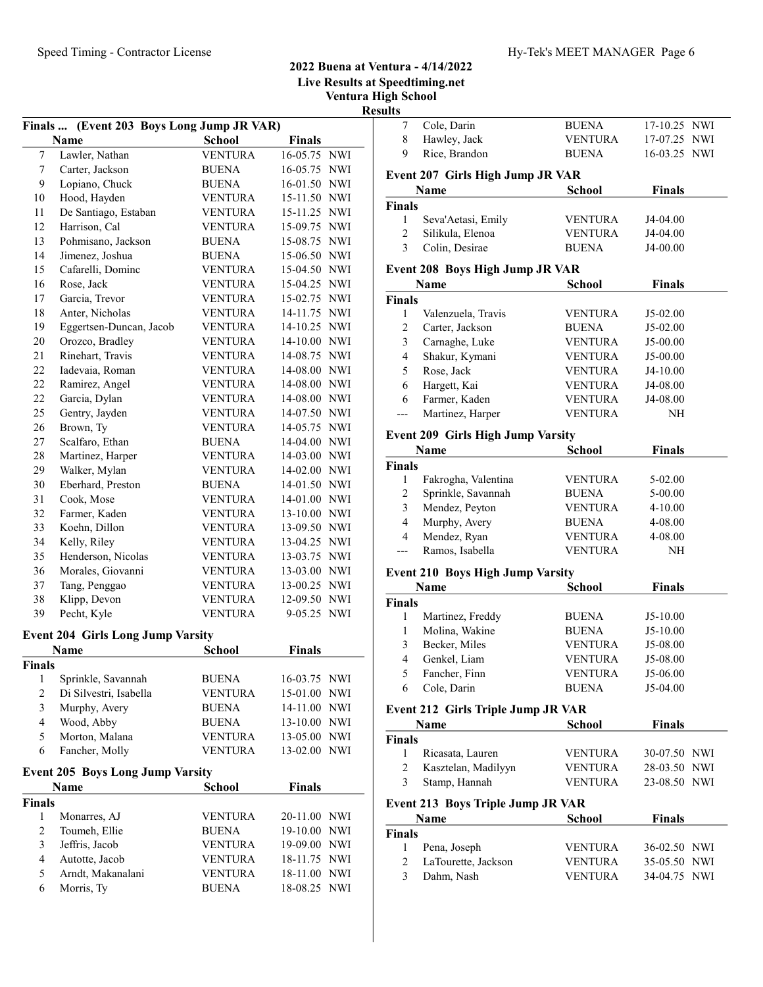# Speed Timing - Contractor License Hy-Tek's MEET MANAGER Page 6

### 2022 Buena at Ventura - 4/14/2022 Live Results at Speedtiming.net Ventura High School

Results

|                         |                                                   |                |               |                           | ĸe |
|-------------------------|---------------------------------------------------|----------------|---------------|---------------------------|----|
|                         | Finals  (Event 203 Boys Long Jump JR VAR)<br>Name | <b>School</b>  | <b>Finals</b> |                           |    |
| $\overline{7}$          | Lawler, Nathan                                    | <b>VENTURA</b> | 16-05.75 NWI  |                           |    |
| 7                       | Carter, Jackson                                   | BUENA          | 16-05.75 NWI  |                           |    |
| 9                       | Lopiano, Chuck                                    | <b>BUENA</b>   | 16-01.50 NWI  |                           |    |
| 10                      | Hood, Hayden                                      | <b>VENTURA</b> | 15-11.50 NWI  |                           |    |
| 11                      | De Santiago, Estaban                              | <b>VENTURA</b> | 15-11.25 NWI  |                           |    |
| 12                      | Harrison, Cal                                     | <b>VENTURA</b> | 15-09.75 NWI  |                           |    |
| 13                      | Pohmisano, Jackson                                | <b>BUENA</b>   | 15-08.75 NWI  |                           |    |
| 14                      | Jimenez, Joshua                                   | <b>BUENA</b>   | 15-06.50 NWI  |                           |    |
| 15                      | Cafarelli, Dominc                                 | <b>VENTURA</b> | 15-04.50 NWI  |                           |    |
| 16                      | Rose, Jack                                        | <b>VENTURA</b> | 15-04.25 NWI  |                           |    |
| 17                      | Garcia, Trevor                                    | <b>VENTURA</b> | 15-02.75 NWI  |                           |    |
| 18                      | Anter, Nicholas                                   | <b>VENTURA</b> | 14-11.75 NWI  |                           |    |
| 19                      | Eggertsen-Duncan, Jacob                           | <b>VENTURA</b> | 14-10.25 NWI  |                           |    |
| 20                      | Orozco, Bradley                                   | <b>VENTURA</b> | 14-10.00 NWI  |                           |    |
| 21                      | Rinehart, Travis                                  | <b>VENTURA</b> | 14-08.75 NWI  |                           |    |
| 22                      | Iadevaia, Roman                                   | <b>VENTURA</b> | 14-08.00 NWI  |                           |    |
| 22                      | Ramirez, Angel                                    | <b>VENTURA</b> | 14-08.00 NWI  |                           |    |
| 22                      | Garcia, Dylan                                     | <b>VENTURA</b> | 14-08.00 NWI  |                           |    |
| 25                      | Gentry, Jayden                                    | <b>VENTURA</b> | 14-07.50 NWI  |                           |    |
| 26                      | Brown, Ty                                         | <b>VENTURA</b> | 14-05.75 NWI  |                           |    |
| 27                      | Scalfaro, Ethan                                   | <b>BUENA</b>   | 14-04.00 NWI  |                           |    |
| 28                      | Martinez, Harper                                  | <b>VENTURA</b> | 14-03.00 NWI  |                           |    |
| 29                      | Walker, Mylan                                     | <b>VENTURA</b> | 14-02.00 NWI  |                           |    |
| 30                      | Eberhard, Preston                                 | <b>BUENA</b>   | 14-01.50 NWI  |                           |    |
| 31                      | Cook, Mose                                        | <b>VENTURA</b> | 14-01.00 NWI  |                           |    |
| 32                      | Farmer, Kaden                                     | <b>VENTURA</b> | 13-10.00 NWI  |                           |    |
| 33                      | Koehn, Dillon                                     | <b>VENTURA</b> | 13-09.50 NWI  |                           |    |
| 34                      | Kelly, Riley                                      | <b>VENTURA</b> | 13-04.25 NWI  |                           |    |
| 35                      | Henderson, Nicolas                                | <b>VENTURA</b> | 13-03.75 NWI  |                           |    |
| 36                      | Morales, Giovanni                                 | <b>VENTURA</b> | 13-03.00 NWI  |                           |    |
| 37                      | Tang, Penggao                                     | VENTURA        | 13-00.25 NWI  |                           |    |
| 38                      | Klipp, Devon                                      | <b>VENTURA</b> | 12-09.50 NWI  |                           |    |
| 39                      | Pecht, Kyle                                       | <b>VENTURA</b> | 9-05.25 NWI   |                           |    |
|                         | <b>Event 204 Girls Long Jump Varsity</b>          |                |               |                           |    |
|                         | <b>Name</b>                                       | <b>School</b>  | <b>Finals</b> |                           |    |
| <b>Finals</b>           |                                                   |                |               |                           |    |
| $\mathbf{1}$            | Sprinkle, Savannah                                | <b>BUENA</b>   | 16-03.75 NWI  |                           |    |
| $\overline{c}$          | Di Silvestri, Isabella                            | <b>VENTURA</b> | 15-01.00      | NWI                       |    |
| $\overline{\mathbf{3}}$ | Murphy, Avery                                     | BUENA          | 14-11.00      | NWI                       |    |
| 4                       | Wood, Abby                                        | <b>BUENA</b>   | 13-10.00      | NWI                       |    |
| 5                       | Morton, Malana                                    | <b>VENTURA</b> | 13-05.00      | <b>NWI</b>                |    |
| 6                       | Fancher, Molly                                    | VENTURA        | 13-02.00      | NWI                       |    |
|                         | <b>Event 205 Boys Long Jump Varsity</b>           |                |               |                           |    |
|                         | Name                                              | School         | <b>Finals</b> |                           |    |
| Finals                  |                                                   |                |               |                           |    |
| 1                       | Monarres, AJ                                      | <b>VENTURA</b> | 20-11.00      | NWI                       |    |
| 2                       | Toumeh, Ellie                                     | <b>BUENA</b>   | 19-10.00      | NWI                       |    |
| 3                       | Jeffris, Jacob                                    | <b>VENTURA</b> | 19-09.00      | $\ensuremath{\text{NWI}}$ |    |
| $\overline{\mathbf{4}}$ | Autotte, Jacob                                    | VENTURA        | 18-11.75      | NWI                       |    |
| 5                       | Arndt, Makanalani                                 | <b>VENTURA</b> | 18-11.00      | NWI                       |    |
| 6                       | Morris, Ty                                        | <b>BUENA</b>   | 18-08.25      | NWI                       |    |
|                         |                                                   |                |               |                           |    |

| 7                                   | Cole, Darin                                      | <b>BUENA</b>   | 17-10.25 NWI  |  |
|-------------------------------------|--------------------------------------------------|----------------|---------------|--|
| 8                                   | Hawley, Jack                                     | <b>VENTURA</b> | 17-07.25 NWI  |  |
| 9                                   | Rice, Brandon                                    | <b>BUENA</b>   | 16-03.25 NWI  |  |
|                                     | Event 207 Girls High Jump JR VAR                 |                |               |  |
|                                     | Name                                             | <b>School</b>  | <b>Finals</b> |  |
| <b>Finals</b>                       |                                                  |                |               |  |
| 1                                   | Seva'Aetasi, Emily                               | <b>VENTURA</b> | J4-04.00      |  |
| 2                                   | Silikula, Elenoa                                 | <b>VENTURA</b> | J4-04.00      |  |
| 3                                   | Colin, Desirae                                   | <b>BUENA</b>   | J4-00.00      |  |
|                                     |                                                  |                |               |  |
|                                     | <b>Event 208 Boys High Jump JR VAR</b>           |                |               |  |
|                                     | Name                                             | School         | <b>Finals</b> |  |
| <b>Finals</b><br>1                  | Valenzuela, Travis                               | <b>VENTURA</b> | J5-02.00      |  |
| $\overline{c}$                      | Carter, Jackson                                  | <b>BUENA</b>   | J5-02.00      |  |
| 3                                   | Carnaghe, Luke                                   | <b>VENTURA</b> | J5-00.00      |  |
| 4                                   | Shakur, Kymani                                   | <b>VENTURA</b> | J5-00.00      |  |
| 5                                   | Rose, Jack                                       | <b>VENTURA</b> | J4-10.00      |  |
| 6                                   | Hargett, Kai                                     | <b>VENTURA</b> | J4-08.00      |  |
| 6                                   | Farmer, Kaden                                    | <b>VENTURA</b> | J4-08.00      |  |
|                                     | Martinez, Harper                                 | <b>VENTURA</b> | NΗ            |  |
|                                     |                                                  |                |               |  |
|                                     | <b>Event 209 Girls High Jump Varsity</b>         |                |               |  |
|                                     | <b>Name</b>                                      | <b>School</b>  | <b>Finals</b> |  |
| <b>Finals</b>                       |                                                  |                |               |  |
| 1                                   | Fakrogha, Valentina                              | <b>VENTURA</b> | 5-02.00       |  |
| 2                                   | Sprinkle, Savannah                               | <b>BUENA</b>   | 5-00.00       |  |
| 3                                   | Mendez, Peyton                                   | <b>VENTURA</b> | $4 - 10.00$   |  |
| 4                                   | Murphy, Avery                                    | <b>BUENA</b>   | 4-08.00       |  |
| 4                                   | Mendez, Ryan                                     | <b>VENTURA</b> | 4-08.00       |  |
| ---                                 | Ramos, Isabella                                  | <b>VENTURA</b> | NΗ            |  |
|                                     | <b>Event 210 Boys High Jump Varsity</b>          |                |               |  |
|                                     | Name                                             | <b>School</b>  | <b>Finals</b> |  |
| <b>Finals</b>                       |                                                  |                |               |  |
|                                     |                                                  |                |               |  |
| 1                                   | Martinez, Freddy                                 | <b>BUENA</b>   | $J5-10.00$    |  |
| 1                                   | Molina, Wakine                                   | <b>BUENA</b>   | $J5-10.00$    |  |
| 3                                   | Becker, Miles                                    | VENTURA        | J5-08.00      |  |
| 4                                   | Genkel, Liam                                     | VENTURA        | J5-08.00      |  |
| 5                                   | Fancher, Finn                                    | VENTURA        | $J5-06.00$    |  |
| 6                                   | Cole, Darin                                      | <b>BUENA</b>   | J5-04.00      |  |
|                                     | Event 212 Girls Triple Jump JR VAR               |                |               |  |
|                                     | <b>Name</b>                                      | School         | <b>Finals</b> |  |
|                                     |                                                  |                |               |  |
| 1                                   | Ricasata, Lauren                                 | <b>VENTURA</b> | 30-07.50 NWI  |  |
| 2                                   | Kasztelan, Madilyyn                              | <b>VENTURA</b> | 28-03.50 NWI  |  |
| 3                                   | Stamp, Hannah                                    | VENTURA        | 23-08.50 NWI  |  |
|                                     |                                                  |                |               |  |
|                                     | Event 213 Boys Triple Jump JR VAR<br><b>Name</b> | School         | <b>Finals</b> |  |
|                                     |                                                  |                |               |  |
| <b>Finals</b><br><b>Finals</b><br>1 | Pena, Joseph                                     | <b>VENTURA</b> | 36-02.50 NWI  |  |
| 2                                   | LaTourette, Jackson                              | <b>VENTURA</b> | 35-05.50 NWI  |  |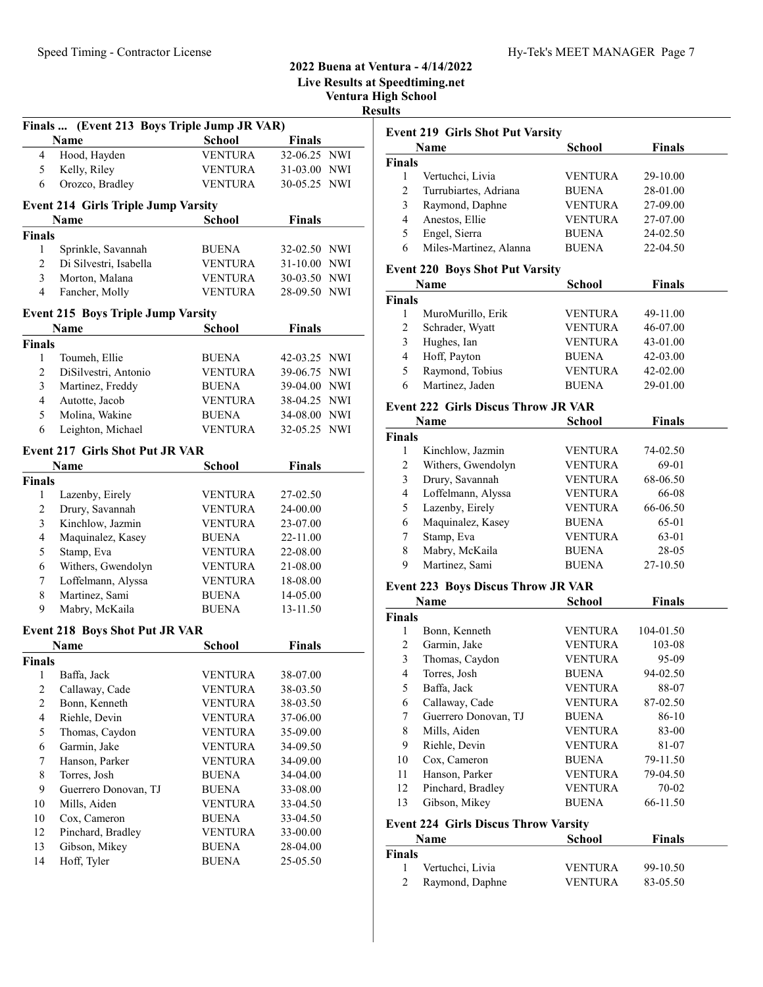|                |                                                     |                |               | LIVE RESUITS at |
|----------------|-----------------------------------------------------|----------------|---------------|-----------------|
|                |                                                     |                |               | Ventura l<br>Re |
|                |                                                     |                |               |                 |
|                | Finals  (Event 213 Boys Triple Jump JR VAR)<br>Name | <b>School</b>  | <b>Finals</b> |                 |
| 4              | Hood, Hayden                                        | <b>VENTURA</b> | 32-06.25 NWI  |                 |
| 5              | Kelly, Riley                                        | <b>VENTURA</b> | 31-03.00 NWI  |                 |
| 6              | Orozco, Bradley                                     | <b>VENTURA</b> | 30-05.25 NWI  |                 |
|                |                                                     |                |               |                 |
|                | <b>Event 214 Girls Triple Jump Varsity</b>          |                |               |                 |
|                | <b>Name</b>                                         | <b>School</b>  | <b>Finals</b> |                 |
| <b>Finals</b>  |                                                     |                |               |                 |
| 1              | Sprinkle, Savannah                                  | <b>BUENA</b>   | 32-02.50 NWI  |                 |
| $\overline{2}$ | Di Silvestri, Isabella                              | VENTURA        | 31-10.00 NWI  |                 |
| 3              | Morton, Malana                                      | VENTURA        | 30-03.50 NWI  |                 |
| 4              | Fancher, Molly                                      | <b>VENTURA</b> | 28-09.50 NWI  |                 |
|                | <b>Event 215 Boys Triple Jump Varsity</b>           |                |               |                 |
|                | <b>Name</b>                                         | <b>School</b>  | <b>Finals</b> |                 |
| <b>Finals</b>  |                                                     |                |               |                 |
| 1              | Toumeh, Ellie                                       | BUENA          | 42-03.25 NWI  |                 |
| $\overline{c}$ | DiSilvestri, Antonio                                | VENTURA        | 39-06.75 NWI  |                 |
| 3              | Martinez, Freddy                                    | <b>BUENA</b>   | 39-04.00 NWI  |                 |
| 4              | Autotte, Jacob                                      | <b>VENTURA</b> | 38-04.25 NWI  |                 |
| 5              | Molina, Wakine                                      | <b>BUENA</b>   | 34-08.00 NWI  |                 |
| 6              | Leighton, Michael                                   | <b>VENTURA</b> | 32-05.25 NWI  |                 |
|                | <b>Event 217 Girls Shot Put JR VAR</b>              |                |               |                 |
|                | Name                                                | School         | <b>Finals</b> |                 |
| <b>Finals</b>  |                                                     |                |               |                 |
| 1              | Lazenby, Eirely                                     | <b>VENTURA</b> | 27-02.50      |                 |
| 2              | Drury, Savannah                                     | VENTURA        | 24-00.00      |                 |
| 3              | Kinchlow, Jazmin                                    | <b>VENTURA</b> | 23-07.00      |                 |
| $\overline{4}$ | Maquinalez, Kasey                                   | <b>BUENA</b>   | 22-11.00      |                 |
| 5              | Stamp, Eva                                          | <b>VENTURA</b> | 22-08.00      |                 |
| 6              | Withers, Gwendolyn                                  | VENTURA        | 21-08.00      |                 |
| 7              | Loffelmann, Alyssa                                  | <b>VENTURA</b> | 18-08.00      |                 |
| 8              | Martinez, Sami                                      | <b>BUENA</b>   | 14-05.00      |                 |
| 9              | Mabry, McKaila                                      | <b>BUENA</b>   | 13-11.50      |                 |
|                |                                                     |                |               |                 |
|                | <b>Event 218 Boys Shot Put JR VAR</b>               |                | <b>Finals</b> |                 |
| <b>Finals</b>  | Name                                                | School         |               |                 |
| 1              | Baffa, Jack                                         | <b>VENTURA</b> | 38-07.00      |                 |
| $\overline{c}$ | Callaway, Cade                                      | <b>VENTURA</b> | 38-03.50      |                 |
| $\mathbf{2}$   | Bonn, Kenneth                                       | <b>VENTURA</b> | 38-03.50      |                 |
| $\overline{4}$ | Riehle, Devin                                       | <b>VENTURA</b> | 37-06.00      |                 |
| 5              | Thomas, Caydon                                      | <b>VENTURA</b> | 35-09.00      |                 |
| 6              | Garmin, Jake                                        | <b>VENTURA</b> | 34-09.50      |                 |
| 7              | Hanson, Parker                                      | <b>VENTURA</b> | 34-09.00      |                 |
| $\,$ 8 $\,$    | Torres, Josh                                        | BUENA          | 34-04.00      |                 |
| 9              | Guerrero Donovan, TJ                                | <b>BUENA</b>   | 33-08.00      |                 |
| 10             | Mills, Aiden                                        | <b>VENTURA</b> | 33-04.50      |                 |
| 10             | Cox, Cameron                                        | BUENA          | 33-04.50      |                 |
| 12             | Pinchard, Bradley                                   | <b>VENTURA</b> | 33-00.00      |                 |
| 13             | Gibson, Mikey                                       | BUENA          | 28-04.00      |                 |
| 14             | Hoff, Tyler                                         | BUENA          | 25-05.50      |                 |
|                |                                                     |                |               |                 |

#### 2022 Buena at Ventura - 4/14/2022 Live Results at Speedtiming.net

High School

| н<br>ı<br>п<br>e.<br>৲ |  |
|------------------------|--|
|                        |  |

| ults                    | <b>Event 219 Girls Shot Put Varsity</b>     |                |               |
|-------------------------|---------------------------------------------|----------------|---------------|
|                         | Name                                        | <b>School</b>  | <b>Finals</b> |
| <b>Finals</b>           |                                             |                |               |
| 1                       | Vertuchci, Livia                            | <b>VENTURA</b> | 29-10.00      |
| 2                       | Turrubiartes, Adriana                       | <b>BUENA</b>   | 28-01.00      |
| 3                       | Raymond, Daphne                             | <b>VENTURA</b> | 27-09.00      |
| $\overline{4}$          | Anestos, Ellie                              | <b>VENTURA</b> | 27-07.00      |
| 5                       | Engel, Sierra                               | <b>BUENA</b>   | 24-02.50      |
| 6                       | Miles-Martinez, Alanna                      | <b>BUENA</b>   | 22-04.50      |
|                         | <b>Event 220 Boys Shot Put Varsity</b>      |                |               |
|                         | Name                                        | <b>School</b>  | <b>Finals</b> |
| <b>Finals</b>           |                                             |                |               |
| 1                       | MuroMurillo, Erik                           | VENTURA        | 49-11.00      |
| $\overline{c}$          | Schrader, Wyatt                             | VENTURA        | 46-07.00      |
| $\mathfrak{Z}$          | Hughes, Ian                                 | <b>VENTURA</b> | 43-01.00      |
| 4                       | Hoff, Payton                                | <b>BUENA</b>   | 42-03.00      |
| 5                       | Raymond, Tobius                             | <b>VENTURA</b> | 42-02.00      |
| 6                       | Martinez, Jaden                             | <b>BUENA</b>   | 29-01.00      |
|                         | <b>Event 222 Girls Discus Throw JR VAR</b>  |                |               |
|                         | Name                                        | School         | <b>Finals</b> |
| <b>Finals</b>           |                                             |                |               |
| 1                       | Kinchlow, Jazmin                            | VENTURA        | 74-02.50      |
| $\overline{2}$          | Withers, Gwendolyn                          | <b>VENTURA</b> | 69-01         |
| 3                       | Drury, Savannah                             | <b>VENTURA</b> | 68-06.50      |
| $\overline{4}$          | Loffelmann, Alyssa                          | <b>VENTURA</b> | 66-08         |
| 5                       | Lazenby, Eirely                             | <b>VENTURA</b> | 66-06.50      |
| 6                       | Maquinalez, Kasey                           | <b>BUENA</b>   | 65-01         |
| 7                       | Stamp, Eva                                  | <b>VENTURA</b> | 63-01         |
| 8                       | Mabry, McKaila                              | <b>BUENA</b>   | 28-05         |
| 9                       | Martinez, Sami                              | <b>BUENA</b>   | 27-10.50      |
|                         | <b>Event 223 Boys Discus Throw JR VAR</b>   |                |               |
|                         | Name                                        | School         | <b>Finals</b> |
| <b>Finals</b>           |                                             |                |               |
| 1                       | Bonn, Kenneth                               | <b>VENTURA</b> | 104-01.50     |
| $\overline{c}$          | Garmin, Jake                                | <b>VENTURA</b> | 103-08        |
| 3                       | Thomas, Caydon                              | VENTURA        | 95-09         |
| $\overline{\mathbf{4}}$ | Torres, Josh                                | <b>BUENA</b>   | 94-02.50      |
| 5                       | Baffa, Jack                                 | <b>VENTURA</b> | 88-07         |
| 6                       | Callaway, Cade                              | <b>VENTURA</b> | 87-02.50      |
| 7                       | Guerrero Donovan, TJ                        | <b>BUENA</b>   | 86-10         |
| 8                       | Mills, Aiden                                | <b>VENTURA</b> | 83-00         |
| 9                       | Riehle, Devin                               | <b>VENTURA</b> | 81-07         |
| 10                      | Cox, Cameron                                | <b>BUENA</b>   | 79-11.50      |
| 11                      | Hanson, Parker                              | <b>VENTURA</b> | 79-04.50      |
| 12                      | Pinchard, Bradley                           | <b>VENTURA</b> | 70-02         |
| 13                      | Gibson, Mikey                               | BUENA          | 66-11.50      |
|                         | <b>Event 224 Girls Discus Throw Varsity</b> |                |               |
|                         | Name                                        | School         | <b>Finals</b> |
| <b>Finals</b>           |                                             |                |               |
|                         | Vertuchci Livia                             | VENTUR A       | $99-10.50$    |

| inals |                   |                |          |  |
|-------|-------------------|----------------|----------|--|
|       | Vertuchci, Livia  | <b>VENTURA</b> | 99-10.50 |  |
|       | 2 Raymond, Daphne | <b>VENTURA</b> | 83-05.50 |  |